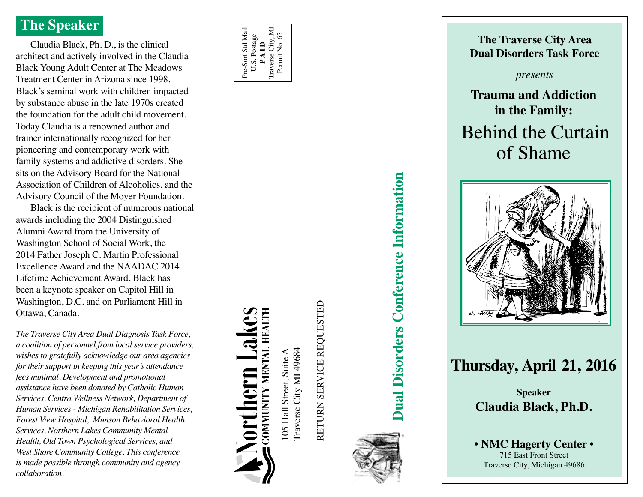## **The Speaker**

Claudia Black, Ph. D., is the clinical architect and actively involved in the Claudia Black Young Adult Center at The Meadows Treatment Center in Arizona since 1998. Black's seminal work with children impacted by substance abuse in the late 1970s created the foundation for the adult child movement. Today Claudia is a renowned author and trainer internationally recognized for her pioneering and contemporary work with family systems and addictive disorders. She sits on the Advisory Board for the National Association of Children of Alcoholics, and the Advisory Council of the Moyer Foundation.

Black is the recipient of numerous national awards including the 2004 Distinguished Alumni Award from the University of Washington School of Social Work, the 2014 Father Joseph C. Martin Professional Excellence Award and the NAADAC 2014 Lifetime Achievement Award. Black has been a keynote speaker on Capitol Hill in Washington, D.C. and on Parliament Hill in Ottawa, Canada.

*The Traverse City Area Dual Diagnosis Task Force, a coalition of personnel from local service providers, wishes to gratefully acknowledge our area agencies for their support in keeping this year's attendance fees minimal. Development and promotional assistance have been donated by Catholic Human Services, Centra Wellness Network, Department of Human Services - Michigan Rehabilitation Services, Forest View Hospital, Munson Behavioral Health Services, Northern Lakes Community Mental Health, Old Town Psychological Services, and West Shore Community College. This conference is made possible through community and agency collaboration.*



COMMUNITY MENTAL HEALTH

Traverse City MI 49684 105 Hall Street, Suite A Traverse City MI 49684 105 Hall Street, Suite A

RETURN SERVICE REQUESTED Return Service Requested



**Dual Disorders Conference Information Dual Disorders Conference Information**



# **Thursday, April 21, 2016**

**Speaker Claudia Black, Ph.D.**

**• NMC Hagerty Center •** 715 East Front Street Traverse City, Michigan 49686